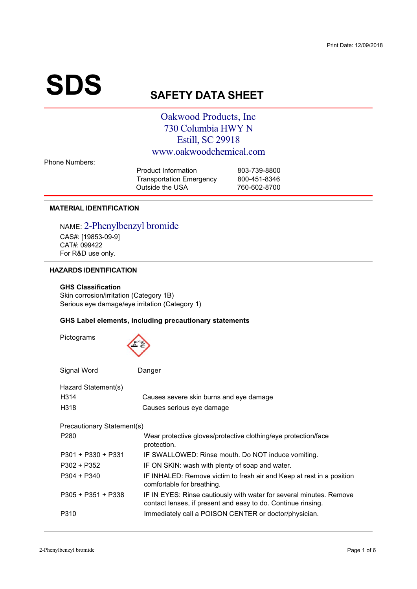# $\textbf{SDS}_{\text{S}}$

# **AFETY DATA SHEET**

# Oakwood Products, Inc. 730 Columbia HWY N Estill, SC 29918 www.oakwoodchemical.com

| Product Information             | 803-739-8800 |
|---------------------------------|--------------|
| <b>Transportation Emergency</b> | 800-451-8346 |
| Outside the USA                 | 760-602-8700 |
|                                 |              |

# **MATERIAL IDENTIFICATION**

NAME: 2-Phenylbenzyl bromide CAS#: [19853-09-9]<br>CAT#: 099422  $For RAD use$ /012 
3 4

# **HAZARDS IDENTIFICATION**

# **GHS Classification**

Skin corrosion/irritation (Category 1B) Serious eye damage/eye irritation (Category 1)<br>.

# **GHS Label elements, including precautionary statements**

| Pictograms                 |                                                                                                                                     |
|----------------------------|-------------------------------------------------------------------------------------------------------------------------------------|
| Signal Word                | Danger                                                                                                                              |
| Hazard Statement(s)        |                                                                                                                                     |
| H314                       | Causes severe skin burns and eye damage                                                                                             |
| H318                       | Causes serious eye damage                                                                                                           |
| Precautionary Statement(s) |                                                                                                                                     |
| P <sub>280</sub>           | Wear protective gloves/protective clothing/eye protection/face<br>protection.                                                       |
| $P301 + P330 + P331$       | IF SWALLOWED: Rinse mouth. Do NOT induce vomiting.                                                                                  |
| $P302 + P352$              | IF ON SKIN: wash with plenty of soap and water.                                                                                     |
| $P304 + P340$              | IF INHALED: Remove victim to fresh air and Keep at rest in a position<br>comfortable for breathing.                                 |
| $P305 + P351 + P338$       | IF IN EYES: Rinse cautiously with water for several minutes. Remove<br>contact lenses, if present and easy to do. Continue rinsing. |
| P310                       | Immediately call a POISON CENTER or doctor/physician.                                                                               |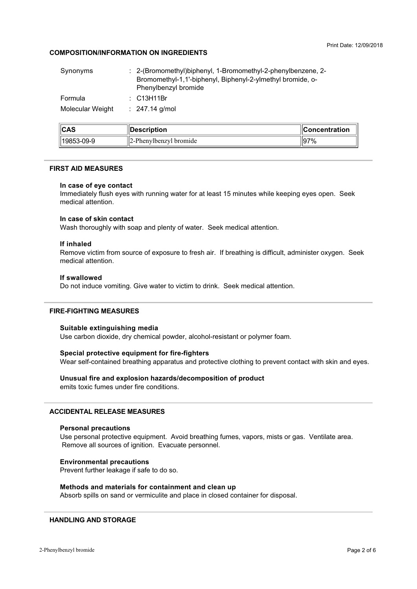# **COMPOSITION/INFORMATION ON INGREDIENTS**

| ممما             |                                                                                    |  |
|------------------|------------------------------------------------------------------------------------|--|
| Molecular Weight | $: 247.14$ g/mol                                                                   |  |
| Formula          | $\therefore$ C13H11Br                                                              |  |
|                  | Bromomethyl-1,1'-biphenyl, Biphenyl-2-ylmethyl bromide, o-<br>Phenylbenzyl bromide |  |
| Synonyms         | : 2-(Bromomethyl) biphenyl, 1-Bromomethyl-2-phenyl benzene, 2-                     |  |

| ICAS         | <b>Description</b>         | <b>Concentration</b> |
|--------------|----------------------------|----------------------|
| 'l19853-09-9 | $12$ -Phenylbenzyl bromide | 197%                 |

## **FIRST AID MEASURES**

#### In case of eye contact

Immediately flush eyes with running water for at least 15 minutes while keeping eyes open. Seek medical attention.

# In case of skin contact

Wash thoroughly with soap and plenty of water. Seek medical attention.

# If inhaled

Remove victim from source of exposure to fresh air. If breathing is difficult, administer oxygen. Seek medical attention.

## If swallowed

Do not induce vomiting. Give water to victim to drink. Seek medical attention.

# **FIRE-FIGHTING MEASURES**

#### Suitable extinguishing media

Use carbon dioxide, dry chemical powder, alcohol-resistant or polymer foam.

# Special protective equipment for fire-fighters

Wear self-contained breathing apparatus and protective clothing to prevent contact with skin and eyes.

# Unusual fire and explosion hazards/decomposition of product

emits toxic fumes under fire conditions.

# **ACCIDENTAL RELEASE MEASURES**

#### **Personal precautions**

Use personal protective equipment. Avoid breathing fumes, vapors, mists or gas. Ventilate area. Remove all sources of ignition. Evacuate personnel.

## **Environmental precautions**

Prevent further leakage if safe to do so.

# Methods and materials for containment and clean up

Absorb spills on sand or vermiculite and place in closed container for disposal.

# **HANDLING AND STORAGE**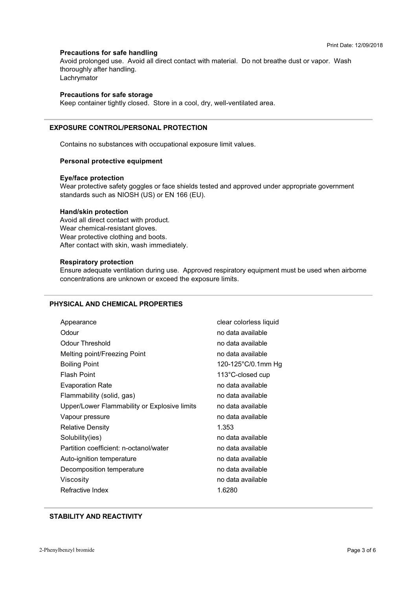# **Precautions for safe handling**

thoroughly after handling. Avoid prolonged use. Avoid all direct contact with material. Do not breathe dust or vapor. Wash arringing atti namang.<br>Lachnimator

# **Precautions for safe storage**

? 

Keep container tightly closed. Store in a cool, dry, well-ventilated area.

# **EXPOSURE CONTROL/PERSONAL PROTECTION**

+

A 3F
 3 =3 
4

#### **Personal protective equipment**

#### **Eye/face protection**

standards such as NIOSH (US) or EN 166 (EU). Wear protective safety goggles or face shields tested and approved under appropriate government

# **Hand/skin protection**

Avoid all direct contact with product.<br>Wear chemical-resistant gloves. Wear protective clothing and boy After contact with skin wash immer (A
5CA 3 4

#### **Respiratory protection**

 $\frac{1}{2}$  concentrations are unknown or exceed the exposure limits 19 An Dùbhlachd an Dùbhlachd an Dùbhlachd an Dùbhlachd an Dùbhlachd an Dùbhlachd an Dùbhlachd an Dùbhlachd an<br>An Dùbhlachd an Dùbhlachd an Dùbhlachd an Dùbhlachd an Dùbhlachd an Dùbhlachd an Dùbhlachd an Dùbhlachd an Dùb

# **PHYSICAL AND CHEMICAL PROPERTIES**

| Appearance                                   | clear colorless liquid |
|----------------------------------------------|------------------------|
| Odour                                        | no data available      |
| <b>Odour Threshold</b>                       | no data available      |
| Melting point/Freezing Point                 | no data available      |
| <b>Boiling Point</b>                         | 120-125°C/0.1mm Hg     |
| <b>Flash Point</b>                           | 113°C-closed cup       |
| <b>Evaporation Rate</b>                      | no data available      |
| Flammability (solid, gas)                    | no data available      |
| Upper/Lower Flammability or Explosive limits | no data available      |
| Vapour pressure                              | no data available      |
| <b>Relative Density</b>                      | 1.353                  |
| Solubility(ies)                              | no data available      |
| Partition coefficient: n-octanol/water       | no data available      |
| Auto-ignition temperature                    | no data available      |
| Decomposition temperature                    | no data available      |
| Viscosity                                    | no data available      |
| Refractive Index                             | 1.6280                 |

# **STABILITY AND REACTIVITY**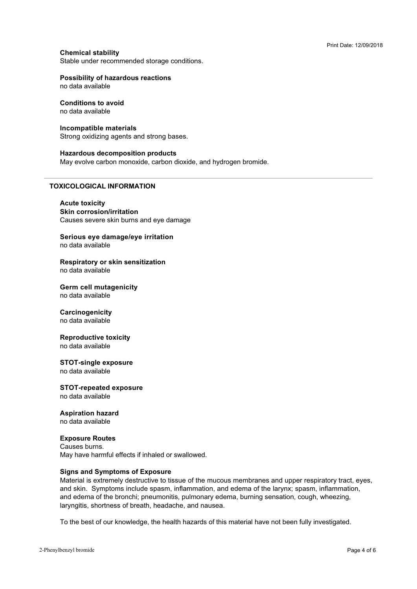# **Chemical stability**

Stable under recommended storage conditions.

# **Possibility of hazardous reactions**

no data available

#### **Conditions to avoid** no data available

# Incompatible materials

Strong oxidizing agents and strong bases.

#### **Hazardous decomposition products**

May evolve carbon monoxide, carbon dioxide, and hydrogen bromide.

## **TOXICOLOGICAL INFORMATION**

**Acute toxicity Skin corrosion/irritation** Causes severe skin burns and eye damage

Serious eye damage/eye irritation no data available

#### Respiratory or skin sensitization no data available

**Germ cell mutagenicity** no data available

#### Carcinogenicity

no data available

# **Reproductive toxicity**

no data available

#### **STOT-single exposure**

no data available

# **STOT-repeated exposure**

no data available

# **Aspiration hazard**

no data available

# **Exposure Routes**

Causes burns. May have harmful effects if inhaled or swallowed.

# **Signs and Symptoms of Exposure**

Material is extremely destructive to tissue of the mucous membranes and upper respiratory tract, eyes, and skin. Symptoms include spasm, inflammation, and edema of the larynx; spasm, inflammation, and edema of the bronchi; pneumonitis, pulmonary edema, burning sensation, cough, wheezing, laryngitis, shortness of breath, headache, and nausea.

To the best of our knowledge, the health hazards of this material have not been fully investigated.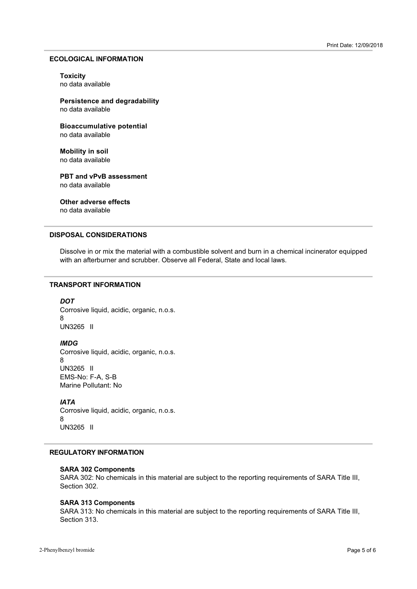#### **ECOLOGICAL INFORMATION**

## **Toxicity**

**Persistence and degradability** 

**Bioaccumulative potential** 

**Mobility in soil** no data available

**PBT and vPvB assessment** no data available

**Other adverse effects** 

no data available

# **DISPOSAL CONSIDERATIONS**

Experience in Franchischen Handelsen von Behalte verschieden. Das Freiner n en mense aner sig opper

# **TRANSPORT INFORMATION**

*-* Corrosive liquid, acidic, organic, n.o.s.<br>8 UN3265 II

#### **IMDG**

Corrosive liquid, acidic, organic, n.o.s.<br>8 UN3265 II MS-No: F-A, S-B<br>Marine Pollutant: N

## **IATA**

Corrosive liquid, acidic, organic, n.o.s.<br>8 UN3265 II

# **REGULATORY INFORMATION**

# **SARA 302 Components**

SARA 302: No chemicals in this material are subject to the reporting requirements of SARA Title III,<br>Section 302 Section 302.

# **SARA 313 Components**

SARA 313: No chemicals in this material are subject to the reporting requirements of SARA Title III,<br>Section 313 Section 313.